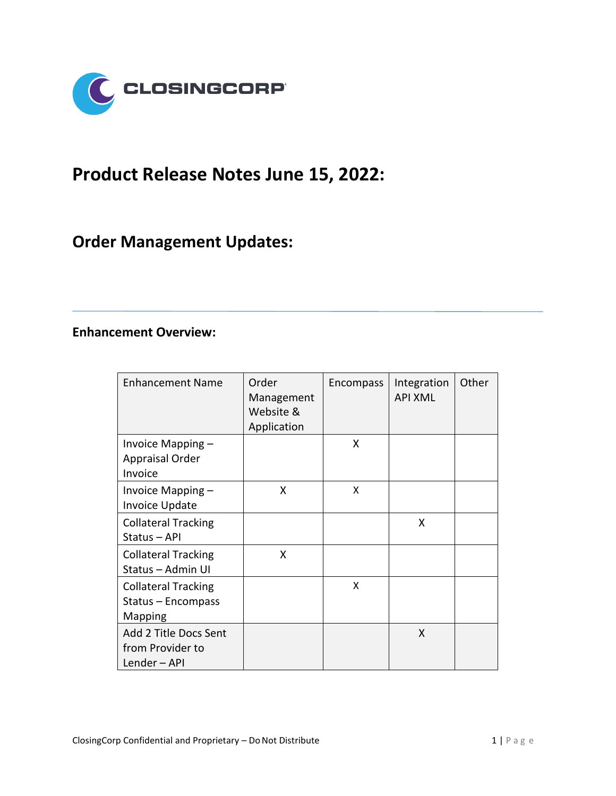

## **Product Release Notes June 15, 2022:**

## **Order Management Updates:**

## **Enhancement Overview:**

| <b>Enhancement Name</b>                                            | Order<br>Management<br>Website &<br>Application | Encompass | Integration<br><b>API XML</b> | Other |
|--------------------------------------------------------------------|-------------------------------------------------|-----------|-------------------------------|-------|
| Invoice Mapping -<br><b>Appraisal Order</b><br>Invoice             |                                                 | X         |                               |       |
| Invoice Mapping -<br><b>Invoice Update</b>                         | X                                               | X         |                               |       |
| <b>Collateral Tracking</b><br>Status - API                         |                                                 |           | X                             |       |
| <b>Collateral Tracking</b><br>Status - Admin UI                    | X                                               |           |                               |       |
| <b>Collateral Tracking</b><br>Status - Encompass<br><b>Mapping</b> |                                                 | X         |                               |       |
| Add 2 Title Docs Sent<br>from Provider to<br>Lender-API            |                                                 |           | X                             |       |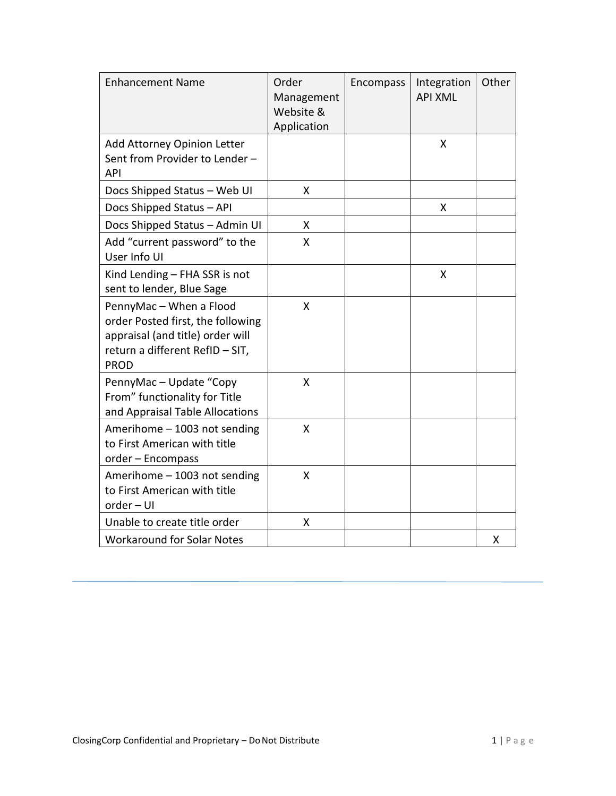| <b>Enhancement Name</b>                                                                                                                            | Order<br>Management<br>Website &<br>Application | Encompass | Integration<br><b>API XML</b> | Other |
|----------------------------------------------------------------------------------------------------------------------------------------------------|-------------------------------------------------|-----------|-------------------------------|-------|
| Add Attorney Opinion Letter<br>Sent from Provider to Lender -<br><b>API</b>                                                                        |                                                 |           | X                             |       |
| Docs Shipped Status - Web UI                                                                                                                       | X                                               |           |                               |       |
| Docs Shipped Status - API                                                                                                                          |                                                 |           | Χ                             |       |
| Docs Shipped Status - Admin UI                                                                                                                     | X                                               |           |                               |       |
| Add "current password" to the<br>User Info UI                                                                                                      | X                                               |           |                               |       |
| Kind Lending - FHA SSR is not<br>sent to lender, Blue Sage                                                                                         |                                                 |           | X                             |       |
| PennyMac - When a Flood<br>order Posted first, the following<br>appraisal (and title) order will<br>return a different RefID - SIT,<br><b>PROD</b> | X                                               |           |                               |       |
| PennyMac - Update "Copy<br>From" functionality for Title<br>and Appraisal Table Allocations                                                        | Χ                                               |           |                               |       |
| Amerihome - 1003 not sending<br>to First American with title<br>order - Encompass                                                                  | X                                               |           |                               |       |
| Amerihome - 1003 not sending<br>to First American with title<br>order - UI                                                                         | Χ                                               |           |                               |       |
| Unable to create title order                                                                                                                       | X                                               |           |                               |       |
| <b>Workaround for Solar Notes</b>                                                                                                                  |                                                 |           |                               | X     |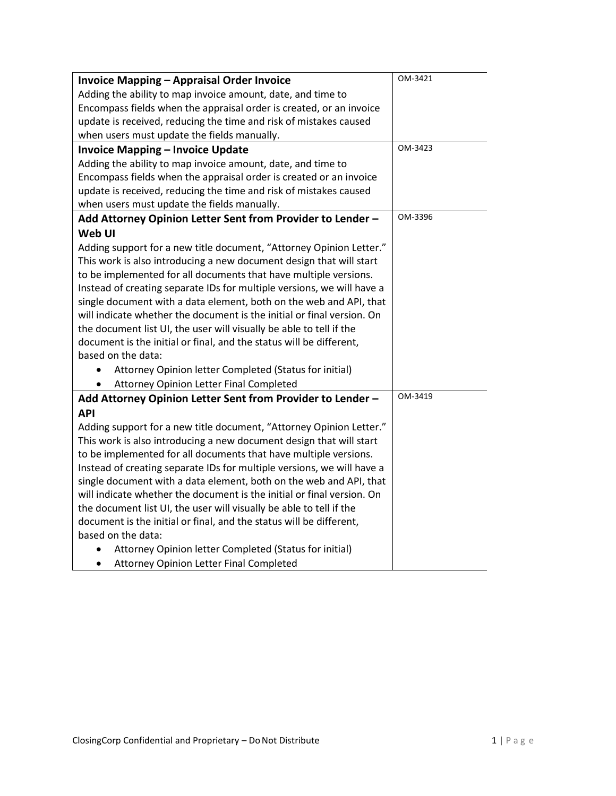| <b>Invoice Mapping - Appraisal Order Invoice</b>                       | OM-3421 |
|------------------------------------------------------------------------|---------|
| Adding the ability to map invoice amount, date, and time to            |         |
| Encompass fields when the appraisal order is created, or an invoice    |         |
| update is received, reducing the time and risk of mistakes caused      |         |
| when users must update the fields manually.                            |         |
| <b>Invoice Mapping - Invoice Update</b>                                | OM-3423 |
| Adding the ability to map invoice amount, date, and time to            |         |
| Encompass fields when the appraisal order is created or an invoice     |         |
| update is received, reducing the time and risk of mistakes caused      |         |
| when users must update the fields manually.                            |         |
| Add Attorney Opinion Letter Sent from Provider to Lender -             | OM-3396 |
| Web UI                                                                 |         |
| Adding support for a new title document, "Attorney Opinion Letter."    |         |
| This work is also introducing a new document design that will start    |         |
| to be implemented for all documents that have multiple versions.       |         |
| Instead of creating separate IDs for multiple versions, we will have a |         |
| single document with a data element, both on the web and API, that     |         |
| will indicate whether the document is the initial or final version. On |         |
| the document list UI, the user will visually be able to tell if the    |         |
| document is the initial or final, and the status will be different,    |         |
| based on the data:                                                     |         |
| Attorney Opinion letter Completed (Status for initial)                 |         |
| Attorney Opinion Letter Final Completed                                |         |
| Add Attorney Opinion Letter Sent from Provider to Lender -             | OM-3419 |
| <b>API</b>                                                             |         |
| Adding support for a new title document, "Attorney Opinion Letter."    |         |
| This work is also introducing a new document design that will start    |         |
| to be implemented for all documents that have multiple versions.       |         |
| Instead of creating separate IDs for multiple versions, we will have a |         |
| single document with a data element, both on the web and API, that     |         |
| will indicate whether the document is the initial or final version. On |         |
| the document list UI, the user will visually be able to tell if the    |         |
| document is the initial or final, and the status will be different,    |         |
| based on the data:                                                     |         |
| Attorney Opinion letter Completed (Status for initial)                 |         |
| Attorney Opinion Letter Final Completed<br>٠                           |         |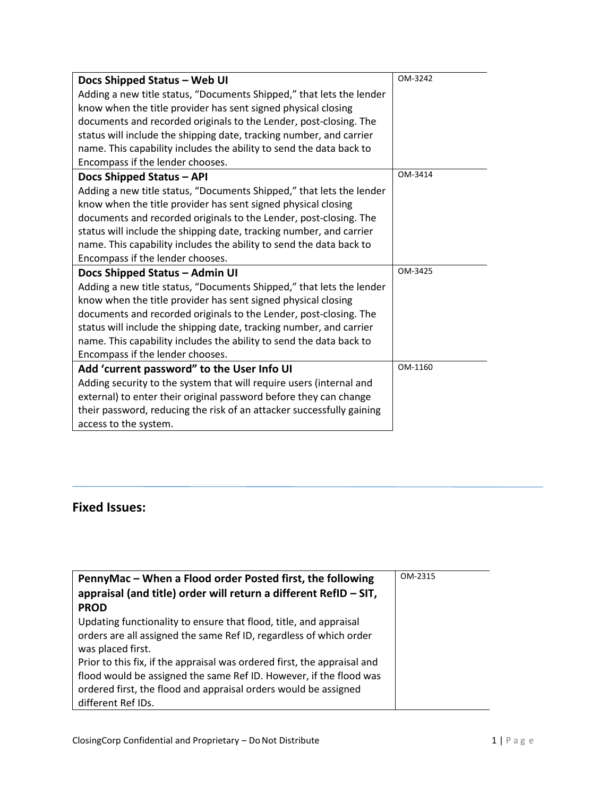| Docs Shipped Status - Web UI                                          | OM-3242 |
|-----------------------------------------------------------------------|---------|
| Adding a new title status, "Documents Shipped," that lets the lender  |         |
| know when the title provider has sent signed physical closing         |         |
| documents and recorded originals to the Lender, post-closing. The     |         |
| status will include the shipping date, tracking number, and carrier   |         |
| name. This capability includes the ability to send the data back to   |         |
| Encompass if the lender chooses.                                      |         |
| Docs Shipped Status - API                                             | OM-3414 |
| Adding a new title status, "Documents Shipped," that lets the lender  |         |
| know when the title provider has sent signed physical closing         |         |
| documents and recorded originals to the Lender, post-closing. The     |         |
| status will include the shipping date, tracking number, and carrier   |         |
| name. This capability includes the ability to send the data back to   |         |
| Encompass if the lender chooses.                                      |         |
| Docs Shipped Status - Admin UI                                        | OM-3425 |
| Adding a new title status, "Documents Shipped," that lets the lender  |         |
| know when the title provider has sent signed physical closing         |         |
| documents and recorded originals to the Lender, post-closing. The     |         |
| status will include the shipping date, tracking number, and carrier   |         |
| name. This capability includes the ability to send the data back to   |         |
| Encompass if the lender chooses.                                      |         |
| Add 'current password" to the User Info UI                            | OM-1160 |
| Adding security to the system that will require users (internal and   |         |
| external) to enter their original password before they can change     |         |
| their password, reducing the risk of an attacker successfully gaining |         |
| access to the system.                                                 |         |

## **Fixed Issues:**

| PennyMac – When a Flood order Posted first, the following                | OM-2315 |
|--------------------------------------------------------------------------|---------|
| appraisal (and title) order will return a different RefID $-$ SIT,       |         |
| <b>PROD</b>                                                              |         |
| Updating functionality to ensure that flood, title, and appraisal        |         |
| orders are all assigned the same Ref ID, regardless of which order       |         |
| was placed first.                                                        |         |
| Prior to this fix, if the appraisal was ordered first, the appraisal and |         |
| flood would be assigned the same Ref ID. However, if the flood was       |         |
| ordered first, the flood and appraisal orders would be assigned          |         |
| different Ref IDs.                                                       |         |
|                                                                          |         |